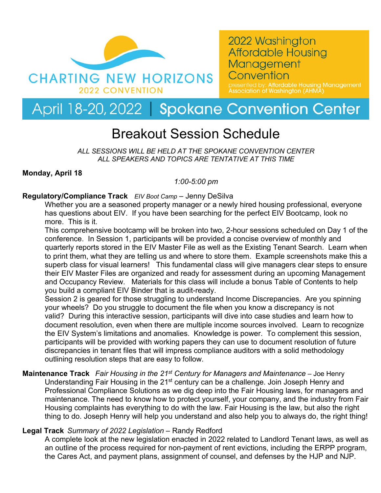

2022 Washington **Affordable Housing** Management Convention

esented by: <mark>Affordable Housing Management</mark><br>sociation of Washington (AHMA)

# April 18-20, 2022 | Spokane Convention Center

## Breakout Session Schedule

*ALL SESSIONS WILL BE HELD AT THE SPOKANE CONVENTION CENTER ALL SPEAKERS AND TOPICS ARE TENTATIVE AT THIS TIME*

#### **Monday, April 18**

#### *1:00-5:00 pm*

#### **Regulatory/Compliance Track** *EIV Boot Camp* – Jenny DeSilva

Whether you are a seasoned property manager or a newly hired housing professional, everyone has questions about EIV. If you have been searching for the perfect EIV Bootcamp, look no more. This is it.

This comprehensive bootcamp will be broken into two, 2-hour sessions scheduled on Day 1 of the conference. In Session 1, participants will be provided a concise overview of monthly and quarterly reports stored in the EIV Master File as well as the Existing Tenant Search. Learn when to print them, what they are telling us and where to store them. Example screenshots make this a superb class for visual learners! This fundamental class will give managers clear steps to ensure their EIV Master Files are organized and ready for assessment during an upcoming Management and Occupancy Review. Materials for this class will include a bonus Table of Contents to help you build a compliant EIV Binder that is audit-ready.

Session 2 is geared for those struggling to understand Income Discrepancies. Are you spinning your wheels? Do you struggle to document the file when you know a discrepancy is not valid? During this interactive session, participants will dive into case studies and learn how to document resolution, even when there are multiple income sources involved. Learn to recognize the EIV System's limitations and anomalies. Knowledge is power. To complement this session, participants will be provided with working papers they can use to document resolution of future discrepancies in tenant files that will impress compliance auditors with a solid methodology outlining resolution steps that are easy to follow.

#### **Maintenance Track** *Fair Housing in the 21st Century for Managers and Maintenance* – Joe Henry Understanding Fair Housing in the 21<sup>st</sup> century can be a challenge. Join Joseph Henry and Professional Compliance Solutions as we dig deep into the Fair Housing laws, for managers and maintenance. The need to know how to protect yourself, your company, and the industry from Fair Housing complaints has everything to do with the law. Fair Housing is the law, but also the right

## thing to do. Joseph Henry will help you understand and also help you to always do, the right thing! **Legal Track** *Summary of 2022 Legislation* – Randy Redford

A complete look at the new legislation enacted in 2022 related to Landlord Tenant laws, as well as an outline of the process required for non-payment of rent evictions, including the ERPP program, the Cares Act, and payment plans, assignment of counsel, and defenses by the HJP and NJP.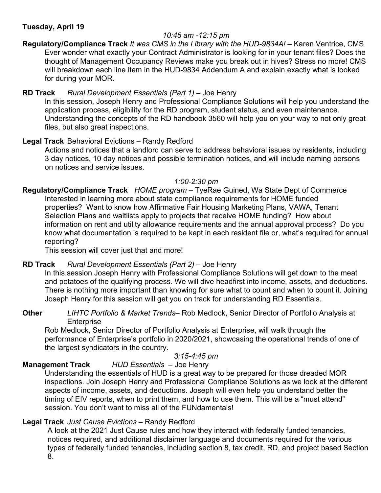#### **Tuesday, April 19**

#### *10:45 am -12:15 pm*

**Regulatory/Compliance Track** *It was CMS in the Library with the HUD-9834A!* – Karen Ventrice, CMS Ever wonder what exactly your Contract Administrator is looking for in your tenant files? Does the thought of Management Occupancy Reviews make you break out in hives? Stress no more! CMS will breakdown each line item in the HUD-9834 Addendum A and explain exactly what is looked for during your MOR.

#### **RD Track** *Rural Development Essentials (Part 1)* – Joe Henry

In this session, Joseph Henry and Professional Compliance Solutions will help you understand the application process, eligibility for the RD program, student status, and even maintenance. Understanding the concepts of the RD handbook 3560 will help you on your way to not only great files, but also great inspections.

#### **Legal Track** Behavioral Evictions – Randy Redford

Actions and notices that a landlord can serve to address behavioral issues by residents, including 3 day notices, 10 day notices and possible termination notices, and will include naming persons on notices and service issues.

#### *1:00-2:30 pm*

**Regulatory/Compliance Track** *HOME program* – TyeRae Guined, Wa State Dept of Commerce Interested in learning more about state compliance requirements for HOME funded properties? Want to know how Affirmative Fair Housing Marketing Plans, VAWA, Tenant Selection Plans and waitlists apply to projects that receive HOME funding? How about information on rent and utility allowance requirements and the annual approval process? Do you know what documentation is required to be kept in each resident file or, what's required for annual reporting?

This session will cover just that and more!

#### **RD Track** *Rural Development Essentials (Part 2)* – Joe Henry

In this session Joseph Henry with Professional Compliance Solutions will get down to the meat and potatoes of the qualifying process. We will dive headfirst into income, assets, and deductions. There is nothing more important than knowing for sure what to count and when to count it. Joining Joseph Henry for this session will get you on track for understanding RD Essentials.

#### **Other** *LIHTC Portfolio & Market Trends*– Rob Medlock, Senior Director of Portfolio Analysis at Enterprise

Rob Medlock, Senior Director of Portfolio Analysis at Enterprise, will walk through the performance of Enterprise's portfolio in 2020/2021, showcasing the operational trends of one of the largest syndicators in the country.

#### *3:15-4:45 pm*

## **Management Track** *HUD Essentials* – Joe Henry

Understanding the essentials of HUD is a great way to be prepared for those dreaded MOR inspections. Join Joseph Henry and Professional Compliance Solutions as we look at the different aspects of income, assets, and deductions. Joseph will even help you understand better the timing of EIV reports, when to print them, and how to use them. This will be a "must attend" session. You don't want to miss all of the FUNdamentals!

### **Legal Track** *Just Cause Evictions* – Randy Redford

A look at the 2021 Just Cause rules and how they interact with federally funded tenancies, notices required, and additional disclaimer language and documents required for the various types of federally funded tenancies, including section 8, tax credit, RD, and project based Section 8.